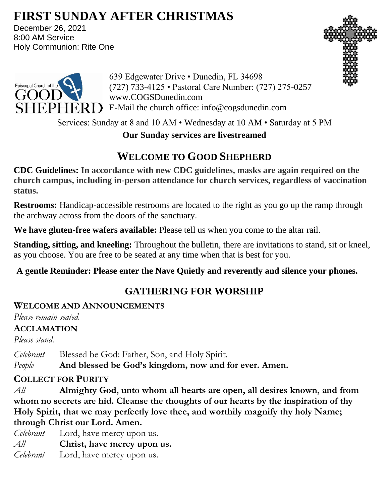# **FIRST SUNDAY AFTER CHRISTMAS**

December 26, 2021 8:00 AM Service Holy Communion: Rite One





639 Edgewater Drive • Dunedin, FL 34698 (727) 733-4125 • Pastoral Care Number: (727) 275-0257 www.COGSDunedin.com  $SHEPHERD$  E-Mail the church office: info@cogsdunedin.com

Services: Sunday at 8 and 10 AM • Wednesday at 10 AM • Saturday at 5 PM

**Our Sunday services are livestreamed**

# **WELCOME TO GOOD SHEPHERD**

**CDC Guidelines: In accordance with new CDC guidelines, masks are again required on the church campus, including in-person attendance for church services, regardless of vaccination status.**

**Restrooms:** Handicap-accessible restrooms are located to the right as you go up the ramp through the archway across from the doors of the sanctuary.

**We have gluten-free wafers available:** Please tell us when you come to the altar rail.

**Standing, sitting, and kneeling:** Throughout the bulletin, there are invitations to stand, sit or kneel, as you choose. You are free to be seated at any time when that is best for you.

# **A gentle Reminder: Please enter the Nave Quietly and reverently and silence your phones.**

# **GATHERING FOR WORSHIP**

# **WELCOME AND ANNOUNCEMENTS**

*Please remain seated.*

# **ACCLAMATION**

*Please stand.*

*Celebrant* Blessed be God: Father, Son, and Holy Spirit.

*People* **And blessed be God's kingdom, now and for ever. Amen.**

# **COLLECT FOR PURITY**

*All* **Almighty God, unto whom all hearts are open, all desires known, and from whom no secrets are hid. Cleanse the thoughts of our hearts by the inspiration of thy Holy Spirit, that we may perfectly love thee, and worthily magnify thy holy Name; through Christ our Lord. Amen.**

*Celebrant* Lord, have mercy upon us. *All* **Christ, have mercy upon us.** *Celebrant* Lord, have mercy upon us.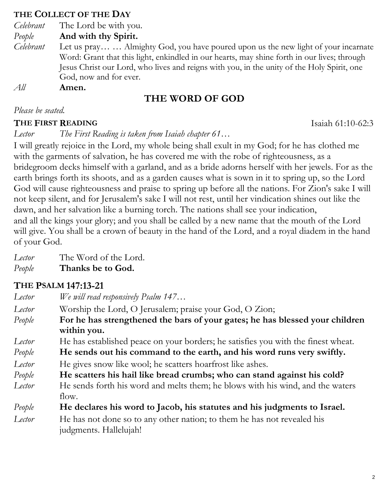#### **THE COLLECT OF THE DAY**

*Celebrant* The Lord be with you.

*People* **And with thy Spirit.**

- *Celebrant* Let us pray… … Almighty God, you have poured upon us the new light of your incarnate Word: Grant that this light, enkindled in our hearts, may shine forth in our lives; through Jesus Christ our Lord, who lives and reigns with you, in the unity of the Holy Spirit, one God, now and for ever.
- *All* **Amen.**

# **THE WORD OF GOD**

*Please be seated.*

#### **THE FIRST READING** Isaiah 61:10-62:3

*Lector The First Reading is taken from Isaiah chapter 61…*

I will greatly rejoice in the Lord, my whole being shall exult in my God; for he has clothed me with the garments of salvation, he has covered me with the robe of righteousness, as a bridegroom decks himself with a garland, and as a bride adorns herself with her jewels. For as the earth brings forth its shoots, and as a garden causes what is sown in it to spring up, so the Lord God will cause righteousness and praise to spring up before all the nations. For Zion's sake I will not keep silent, and for Jerusalem's sake I will not rest, until her vindication shines out like the dawn, and her salvation like a burning torch. The nations shall see your indication, and all the kings your glory; and you shall be called by a new name that the mouth of the Lord will give. You shall be a crown of beauty in the hand of the Lord, and a royal diadem in the hand of your God.

*Lector* The Word of the Lord.

*People* **Thanks be to God.**

# **THE PSALM 147:13-21**

| Lector | We will read responsively Psalm $147$                                             |  |
|--------|-----------------------------------------------------------------------------------|--|
| Lector | Worship the Lord, O Jerusalem; praise your God, O Zion;                           |  |
| People | For he has strengthened the bars of your gates; he has blessed your children      |  |
|        | within you.                                                                       |  |
| Lector | He has established peace on your borders; he satisfies you with the finest wheat. |  |
| People | He sends out his command to the earth, and his word runs very swiftly.            |  |
| Lector | He gives snow like wool; he scatters hoarfrost like ashes.                        |  |
| People | He scatters his hail like bread crumbs; who can stand against his cold?           |  |
| Lector | He sends forth his word and melts them; he blows with his wind, and the waters    |  |
|        | flow.                                                                             |  |
| People | He declares his word to Jacob, his statutes and his judgments to Israel.          |  |
| Lector | He has not done so to any other nation; to them he has not revealed his           |  |
|        | judgments. Hallelujah!                                                            |  |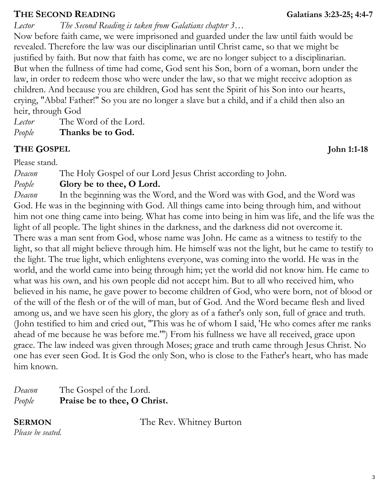#### **THE SECOND READING Galatians 3:23-25; 4:4-7**

*Lector The Second Reading is taken from Galatians chapter 3…*

Now before faith came, we were imprisoned and guarded under the law until faith would be revealed. Therefore the law was our disciplinarian until Christ came, so that we might be justified by faith. But now that faith has come, we are no longer subject to a disciplinarian. But when the fullness of time had come, God sent his Son, born of a woman, born under the law, in order to redeem those who were under the law, so that we might receive adoption as children. And because you are children, God has sent the Spirit of his Son into our hearts, crying, "Abba! Father!" So you are no longer a slave but a child, and if a child then also an heir, through God

*Lector* The Word of the Lord. *People* **Thanks be to God.**

## **THE GOSPEL John 1:1-18**

Please stand.

*Deacon* The Holy Gospel of our Lord Jesus Christ according to John.

#### *People* **Glory be to thee, O Lord.**

*Deacon* In the beginning was the Word, and the Word was with God, and the Word was God. He was in the beginning with God. All things came into being through him, and without him not one thing came into being. What has come into being in him was life, and the life was the light of all people. The light shines in the darkness, and the darkness did not overcome it. There was a man sent from God, whose name was John. He came as a witness to testify to the light, so that all might believe through him. He himself was not the light, but he came to testify to the light. The true light, which enlightens everyone, was coming into the world. He was in the world, and the world came into being through him; yet the world did not know him. He came to what was his own, and his own people did not accept him. But to all who received him, who believed in his name, he gave power to become children of God, who were born, not of blood or of the will of the flesh or of the will of man, but of God. And the Word became flesh and lived among us, and we have seen his glory, the glory as of a father's only son, full of grace and truth. (John testified to him and cried out, "This was he of whom I said, 'He who comes after me ranks ahead of me because he was before me.'") From his fullness we have all received, grace upon grace. The law indeed was given through Moses; grace and truth came through Jesus Christ. No one has ever seen God. It is God the only Son, who is close to the Father's heart, who has made him known.

| Deacon | The Gospel of the Lord.      |
|--------|------------------------------|
| People | Praise be to thee, O Christ. |

*Please be seated.*

**SERMON** The Rev. Whitney Burton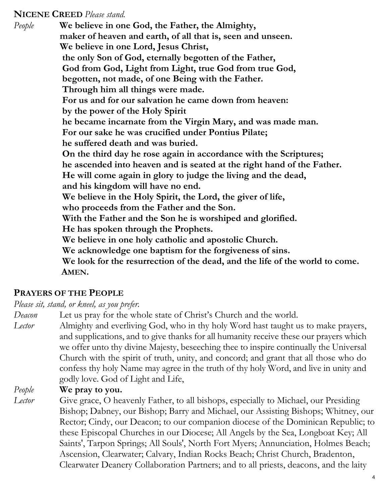#### **NICENE CREED** *Please stand.*

*People* **We believe in one God, the Father, the Almighty, maker of heaven and earth, of all that is, seen and unseen. We believe in one Lord, Jesus Christ, the only Son of God, eternally begotten of the Father, God from God, Light from Light, true God from true God, begotten, not made, of one Being with the Father. Through him all things were made. For us and for our salvation he came down from heaven: by the power of the Holy Spirit he became incarnate from the Virgin Mary, and was made man. For our sake he was crucified under Pontius Pilate; he suffered death and was buried. On the third day he rose again in accordance with the Scriptures; he ascended into heaven and is seated at the right hand of the Father. He will come again in glory to judge the living and the dead, and his kingdom will have no end. We believe in the Holy Spirit, the Lord, the giver of life, who proceeds from the Father and the Son. With the Father and the Son he is worshiped and glorified. He has spoken through the Prophets. We believe in one holy catholic and apostolic Church. We acknowledge one baptism for the forgiveness of sins. We look for the resurrection of the dead, and the life of the world to come. AMEN.**

### **PRAYERS OF THE PEOPLE**

*Please sit, stand, or kneel, as you prefer.*

*Deacon* Let us pray for the whole state of Christ's Church and the world.

- *Lector* Almighty and everliving God, who in thy holy Word hast taught us to make prayers, and supplications, and to give thanks for all humanity receive these our prayers which we offer unto thy divine Majesty, beseeching thee to inspire continually the Universal Church with the spirit of truth, unity, and concord; and grant that all those who do confess thy holy Name may agree in the truth of thy holy Word, and live in unity and godly love. God of Light and Life,
- *People* **We pray to you.**

*Lector* Give grace, O heavenly Father, to all bishops, especially to Michael, our Presiding Bishop; Dabney, our Bishop; Barry and Michael, our Assisting Bishops; Whitney, our Rector; Cindy, our Deacon; to our companion diocese of the Dominican Republic; to these Episcopal Churches in our Diocese; All Angels by the Sea, Longboat Key; All Saints', Tarpon Springs; All Souls', North Fort Myers; Annunciation, Holmes Beach; Ascension, Clearwater; Calvary, Indian Rocks Beach; Christ Church, Bradenton, Clearwater Deanery Collaboration Partners; and to all priests, deacons, and the laity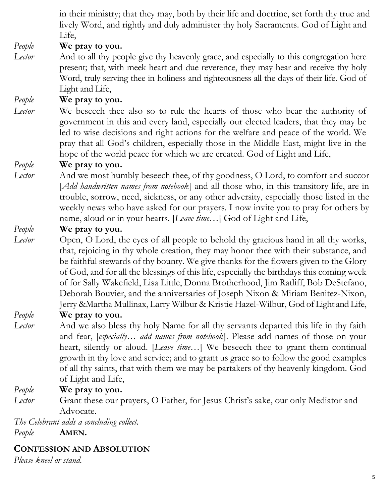in their ministry; that they may, both by their life and doctrine, set forth thy true and lively Word, and rightly and duly administer thy holy Sacraments. God of Light and Life,

#### *People* **We pray to you.**

*Lector* And to all thy people give thy heavenly grace, and especially to this congregation here present; that, with meek heart and due reverence, they may hear and receive thy holy Word, truly serving thee in holiness and righteousness all the days of their life. God of Light and Life,

#### *People* **We pray to you.**

*Lector* We beseech thee also so to rule the hearts of those who bear the authority of government in this and every land, especially our elected leaders, that they may be led to wise decisions and right actions for the welfare and peace of the world. We pray that all God's children, especially those in the Middle East, might live in the hope of the world peace for which we are created. God of Light and Life,

#### *People* **We pray to you.**

*Lector* And we most humbly beseech thee, of thy goodness, O Lord, to comfort and succor [*Add handwritten names from notebook*] and all those who, in this transitory life, are in trouble, sorrow, need, sickness, or any other adversity, especially those listed in the weekly news who have asked for our prayers. I now invite you to pray for others by name, aloud or in your hearts. [*Leave time…*] God of Light and Life,

#### *People* **We pray to you.**

*Lector* Open, O Lord, the eyes of all people to behold thy gracious hand in all thy works, that, rejoicing in thy whole creation, they may honor thee with their substance, and be faithful stewards of thy bounty. We give thanks for the flowers given to the Glory of God, and for all the blessings of this life, especially the birthdays this coming week of for Sally Wakefield, Lisa Little, Donna Brotherhood, Jim Ratliff, Bob DeStefano, Deborah Bouvier, and the anniversaries of Joseph Nixon & Miriam Benitez-Nixon, Jerry &Martha Mullinax, Larry Wilbur & Kristie Hazel-Wilbur, God of Light and Life,

#### *People* **We pray to you.**

*Lector* And we also bless thy holy Name for all thy servants departed this life in thy faith and fear, [*especially… add names from notebook*]. Please add names of those on your heart, silently or aloud. [*Leave time…*] We beseech thee to grant them continual growth in thy love and service; and to grant us grace so to follow the good examples of all thy saints, that with them we may be partakers of thy heavenly kingdom. God of Light and Life,

#### *People* **We pray to you.**

*Lector* Grant these our prayers, O Father, for Jesus Christ's sake, our only Mediator and Advocate.

*The Celebrant adds a concluding collect. People* **AMEN.**

# **CONFESSION AND ABSOLUTION**

*Please kneel or stand.*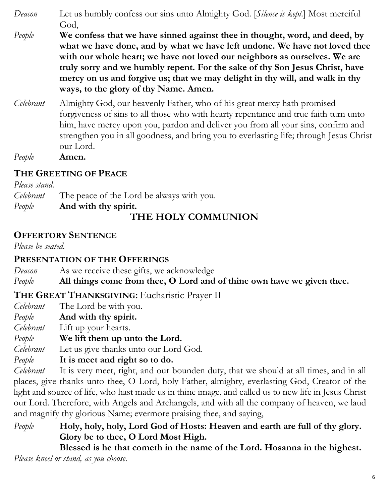*Deacon* Let us humbly confess our sins unto Almighty God. [*Silence is kept.*] Most merciful God,

- *People* **We confess that we have sinned against thee in thought, word, and deed, by what we have done, and by what we have left undone. We have not loved thee with our whole heart; we have not loved our neighbors as ourselves. We are truly sorry and we humbly repent. For the sake of thy Son Jesus Christ, have mercy on us and forgive us; that we may delight in thy will, and walk in thy ways, to the glory of thy Name. Amen.**
- *Celebrant* Almighty God, our heavenly Father, who of his great mercy hath promised forgiveness of sins to all those who with hearty repentance and true faith turn unto him, have mercy upon you, pardon and deliver you from all your sins, confirm and strengthen you in all goodness, and bring you to everlasting life; through Jesus Christ our Lord.

*People* **Amen.**

# **THE GREETING OF PEACE**

*Please stand. Celebrant* The peace of the Lord be always with you. *People* **And with thy spirit.**

# **THE HOLY COMMUNION**

# **OFFERTORY SENTENCE**

*Please be seated.*

# **PRESENTATION OF THE OFFERINGS**

- *Deacon* As we receive these gifts, we acknowledge
- *People* **All things come from thee, O Lord and of thine own have we given thee.**

# **THE GREAT THANKSGIVING:** Eucharistic Prayer II

- *Celebrant* The Lord be with you.
- *People* **And with thy spirit.**
- *Celebrant* Lift up your hearts.
- *People* **We lift them up unto the Lord.**

*Celebrant* Let us give thanks unto our Lord God.

*People* **It is meet and right so to do.**

*Celebrant* It is very meet, right, and our bounden duty, that we should at all times, and in all places, give thanks unto thee, O Lord, holy Father, almighty, everlasting God, Creator of the light and source of life, who hast made us in thine image, and called us to new life in Jesus Christ our Lord. Therefore, with Angels and Archangels, and with all the company of heaven, we laud and magnify thy glorious Name; evermore praising thee, and saying,

*People* **Holy, holy, holy, Lord God of Hosts: Heaven and earth are full of thy glory. Glory be to thee, O Lord Most High.** 

**Blessed is he that cometh in the name of the Lord. Hosanna in the highest.** *Please kneel or stand, as you choose.*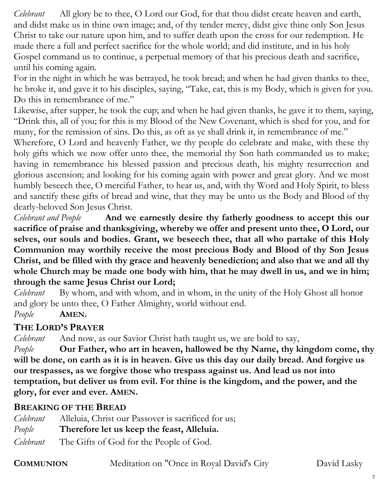*Celebrant* All glory be to thee, O Lord our God, for that thou didst create heaven and earth, and didst make us in thine own image; and, of thy tender mercy, didst give thine only Son Jesus Christ to take our nature upon him, and to suffer death upon the cross for our redemption. He made there a full and perfect sacrifice for the whole world; and did institute, and in his holy Gospel command us to continue, a perpetual memory of that his precious death and sacrifice, until his coming again.

For in the night in which he was betrayed, he took bread; and when he had given thanks to thee, he broke it, and gave it to his disciples, saying, "Take, eat, this is my Body, which is given for you. Do this in remembrance of me."

Likewise, after supper, he took the cup; and when he had given thanks, he gave it to them, saying, "Drink this, all of you; for this is my Blood of the New Covenant, which is shed for you, and for many, for the remission of sins. Do this, as oft as ye shall drink it, in remembrance of me."

Wherefore, O Lord and heavenly Father, we thy people do celebrate and make, with these thy holy gifts which we now offer unto thee, the memorial thy Son hath commanded us to make; having in remembrance his blessed passion and precious death, his mighty resurrection and glorious ascension; and looking for his coming again with power and great glory. And we most humbly beseech thee, O merciful Father, to hear us, and, with thy Word and Holy Spirit, to bless and sanctify these gifts of bread and wine, that they may be unto us the Body and Blood of thy dearly-beloved Son Jesus Christ.

*Celebrant and People* **And we earnestly desire thy fatherly goodness to accept this our sacrifice of praise and thanksgiving, whereby we offer and present unto thee, O Lord, our selves, our souls and bodies. Grant, we beseech thee, that all who partake of this Holy Communion may worthily receive the most precious Body and Blood of thy Son Jesus Christ, and be filled with thy grace and heavenly benediction; and also that we and all thy whole Church may be made one body with him, that he may dwell in us, and we in him; through the same Jesus Christ our Lord;** 

*Celebrant* By whom, and with whom, and in whom, in the unity of the Holy Ghost all honor and glory be unto thee, O Father Almighty, world without end.

*People* **AMEN.**

### **THE LORD'S PRAYER**

*Celebrant* And now, as our Savior Christ hath taught us, we are bold to say,

*People* **Our Father, who art in heaven, hallowed be thy Name, thy kingdom come, thy will be done, on earth as it is in heaven. Give us this day our daily bread. And forgive us our trespasses, as we forgive those who trespass against us. And lead us not into temptation, but deliver us from evil. For thine is the kingdom, and the power, and the glory, for ever and ever. AMEN.**

#### **BREAKING OF THE BREAD**

|           | <i>Celebrant</i> Alleluia, Christ our Passover is sacrificed for us; |
|-----------|----------------------------------------------------------------------|
| People    | Therefore let us keep the feast, Alleluia.                           |
| Celebrant | The Gifts of God for the People of God.                              |

| Meditation on "Once in Royal David's City | <b>COMMUNION</b> |  |  |  | David Lasky |
|-------------------------------------------|------------------|--|--|--|-------------|
|-------------------------------------------|------------------|--|--|--|-------------|